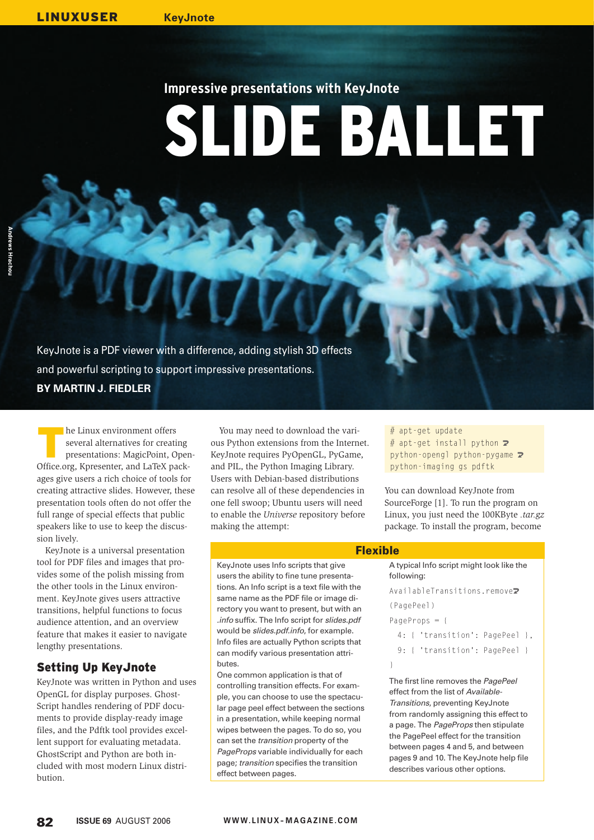# **Impressive presentations with KeyJnote**

DE SALLET

KeyJnote is a PDF viewer with a difference, adding stylish 3D effects and powerful scripting to support impressive presentations. **BY MARTIN J. FIEDLER**

The Linux environment offers<br>several alternatives for creatiin presentations: MagicPoint, O several alternatives for creating presentations: MagicPoint, Open-Office.org, Kpresenter, and LaTeX packages give users a rich choice of tools for creating attractive slides. However, these presentation tools often do not offer the full range of special effects that public speakers like to use to keep the discussion lively.

KeyJnote is a universal presentation tool for PDF files and images that provides some of the polish missing from the other tools in the Linux environment. KeyJnote gives users attractive transitions, helpful functions to focus audience attention, and an overview feature that makes it easier to navigate lengthy presentations.

## Setting Up KeyJnote

KeyJnote was written in Python and uses OpenGL for display purposes. Ghost-Script handles rendering of PDF documents to provide display-ready image files, and the Pdftk tool provides excellent support for evaluating metadata. GhostScript and Python are both included with most modern Linux distribution.

You may need to download the various Python extensions from the Internet. KeyJnote requires PyOpenGL, PyGame, and PIL, the Python Imaging Library. Users with Debian-based distributions can resolve all of these dependencies in one fell swoop; Ubuntu users will need to enable the *Universe* repository before making the attempt:

KeyJnote uses Info scripts that give users the ability to fine tune presentations. An Info script is a text file with the same name as the PDF file or image directory you want to present, but with an .info suffix. The Info script for slides.pdf would be slides.pdf.info, for example. Info files are actually Python scripts that can modify various presentation attri-

One common application is that of controlling transition effects. For example, you can choose to use the spectacular page peel effect between the sections in a presentation, while keeping normal wipes between the pages. To do so, you can set the transition property of the PageProps variable individually for each page; transition specifies the transition

butes.

# apt-get update # apt-get install python  $\overline{z}$ python-opengl python-pygame  $\triangleright$ python-imaging gs pdftk

You can download KeyJnote from SourceForge [1]. To run the program on Linux, you just need the 100KByte *.tar.gz* package. To install the program, become

#### **Flexible**

```
A typical Info script might look like the 
following:
```
AvailableTransitions.remove<sup>2</sup>

```
(PagePeel)
```
PageProps = {

```
 4: { 'transition': PagePeel },
```

```
9: { 'transition': PagePeel }
```

```
}
```
The first line removes the PagePeel effect from the list of Available-Transitions, preventing KeyJnote from randomly assigning this effect to a page. The PageProps then stipulate the PagePeel effect for the transition between pages 4 and 5, and between pages 9 and 10. The KeyJnote help file describes various other options.

effect between pages.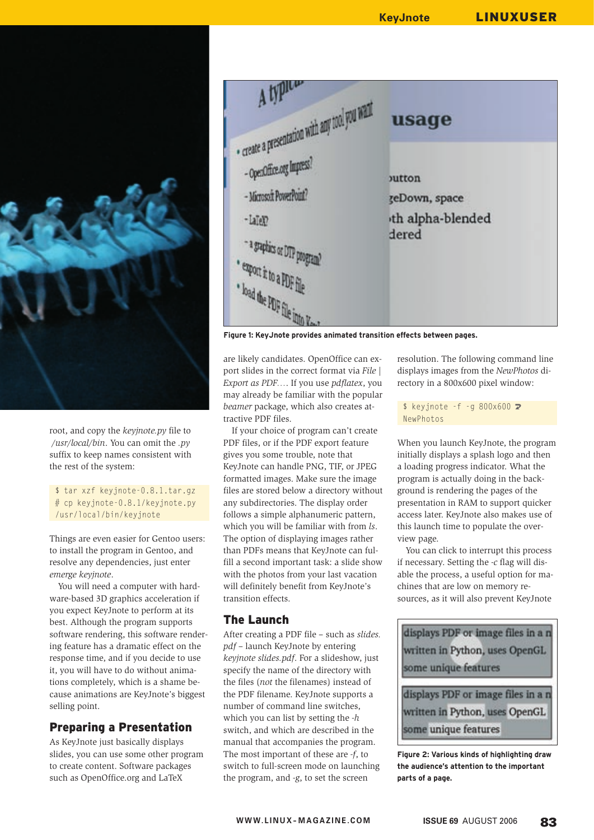

root, and copy the *keyjnote.py* file to */usr/local/bin*. You can omit the *.py* suffix to keep names consistent with the rest of the system:

#### \$ tar xzf keyjnote-0.8.1.tar.gz # cp keyjnote-0.8.1/keyjnote.py /usr/local/bin/keyjnote

Things are even easier for Gentoo users: to install the program in Gentoo, and resolve any dependencies, just enter *emerge keyjnote*.

You will need a computer with hardware-based 3D graphics acceleration if you expect KeyJnote to perform at its best. Although the program supports software rendering, this software rendering feature has a dramatic effect on the response time, and if you decide to use it, you will have to do without animations completely, which is a shame because animations are KeyJnote's biggest selling point.

### Preparing a Presentation

As KeyJnote just basically displays slides, you can use some other program to create content. Software packages such as OpenOffice.org and LaTeX



**Figure 1: KeyJnote provides animated transition effects between pages.**

are likely candidates. OpenOffice can export slides in the correct format via *File | Export as PDF…*. If you use *pdflatex*, you may already be familiar with the popular *beamer* package, which also creates attractive PDF files.

If your choice of program can't create PDF files, or if the PDF export feature gives you some trouble, note that KeyJnote can handle PNG, TIF, or JPEG formatted images. Make sure the image files are stored below a directory without any subdirectories. The display order follows a simple alphanumeric pattern, which you will be familiar with from *ls*. The option of displaying images rather than PDFs means that KeyJnote can fulfill a second important task: a slide show with the photos from your last vacation will definitely benefit from KeyJnote's transition effects.

### The Launch

After creating a PDF file – such as *slides. pdf* – launch KeyJnote by entering *keyjnote slides.pdf*. For a slideshow, just specify the name of the directory with the files (*not* the filenames) instead of the PDF filename. KeyJnote supports a number of command line switches, which you can list by setting the *-h* switch, and which are described in the manual that accompanies the program. The most important of these are *-f*, to switch to full-screen mode on launching the program, and *-g*, to set the screen

resolution. The following command line displays images from the *NewPhotos* directory in a 800x600 pixel window:

 $$ keyjnote -f -g 800x600 2$ NewPhotos

When you launch KeyJnote, the program initially displays a splash logo and then a loading progress indicator. What the program is actually doing in the background is rendering the pages of the presentation in RAM to support quicker access later. KeyJnote also makes use of this launch time to populate the overview page.

You can click to interrupt this process if necessary. Setting the *-c* flag will disable the process, a useful option for machines that are low on memory resources, as it will also prevent KeyJnote



**Figure 2: Various kinds of highlighting draw the audience's attention to the important parts of a page.**